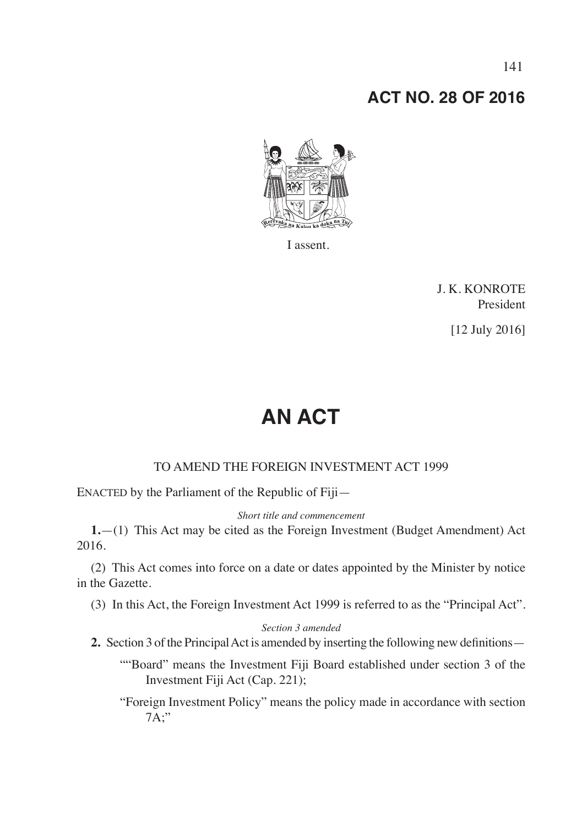## **ACT NO. 28 OF 2016**



I assent.

J. K. KONROTE President

[12 July 2016]

# **AN ACT**

## TO AMEND THE FOREIGN INVESTMENT ACT 1999

ENACTED by the Parliament of the Republic of Fiji—

*Short title and commencement*

**1.**—(1) This Act may be cited as the Foreign Investment (Budget Amendment) Act 2016.

(2) This Act comes into force on a date or dates appointed by the Minister by notice in the Gazette.

(3) In this Act, the Foreign Investment Act 1999 is referred to as the "Principal Act".

#### *Section 3 amended*

- **2.** Section 3 of the Principal Act is amended by inserting the following new definitions—
	- ""Board" means the Investment Fiji Board established under section 3 of the Investment Fiji Act (Cap. 221);

"Foreign Investment Policy" means the policy made in accordance with section 7A;"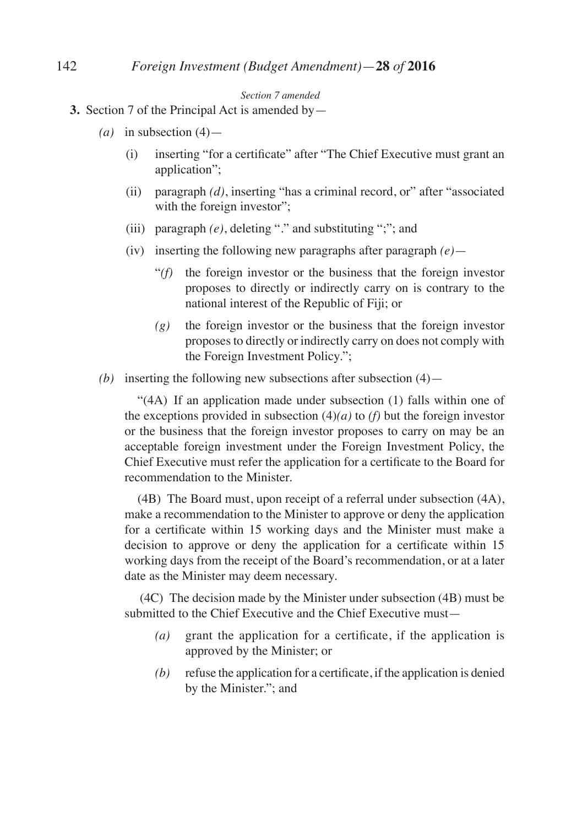#### *Section 7 amended*

- **3.** Section 7 of the Principal Act is amended by—
	- $(a)$  in subsection  $(4)$ 
		- (i) inserting "for a certificate" after "The Chief Executive must grant an application";
		- (ii) paragraph *(d)*, inserting "has a criminal record, or" after "associated with the foreign investor";
		- (iii) paragraph *(e)*, deleting "." and substituting ";"; and
		- (iv) inserting the following new paragraphs after paragraph *(e)*
			- "*(f)* the foreign investor or the business that the foreign investor proposes to directly or indirectly carry on is contrary to the national interest of the Republic of Fiji; or
			- *(g)* the foreign investor or the business that the foreign investor proposes to directly or indirectly carry on does not comply with the Foreign Investment Policy.";
	- *(b)* inserting the following new subsections after subsection  $(4)$ —

 "(4A) If an application made under subsection (1) falls within one of the exceptions provided in subsection  $(4)(a)$  to *(f)* but the foreign investor or the business that the foreign investor proposes to carry on may be an acceptable foreign investment under the Foreign Investment Policy, the Chief Executive must refer the application for a certificate to the Board for recommendation to the Minister.

 (4B) The Board must, upon receipt of a referral under subsection (4A), make a recommendation to the Minister to approve or deny the application for a certificate within 15 working days and the Minister must make a decision to approve or deny the application for a certificate within 15 working days from the receipt of the Board's recommendation, or at a later date as the Minister may deem necessary.

 (4C) The decision made by the Minister under subsection (4B) must be submitted to the Chief Executive and the Chief Executive must—

- *(a)* grant the application for a certificate, if the application is approved by the Minister; or
- *(b)* refuse the application for a certificate, if the application is denied by the Minister."; and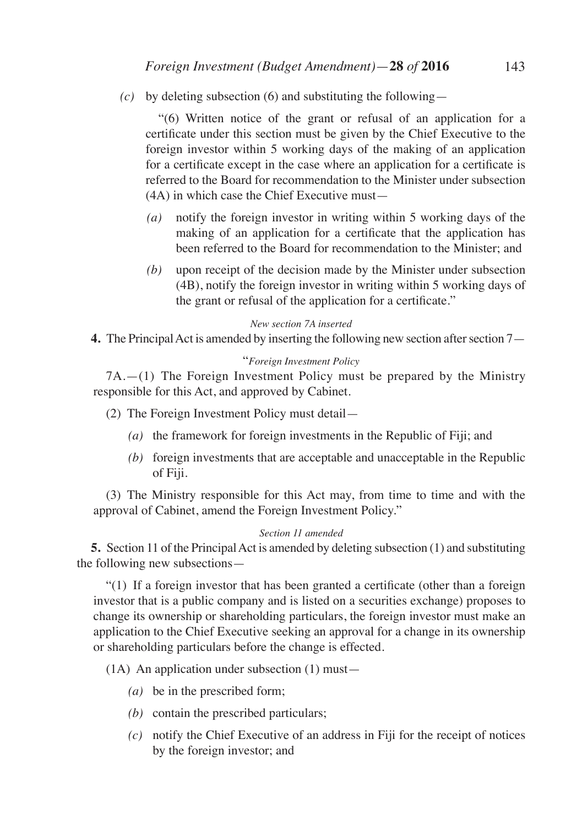*(c)* by deleting subsection (6) and substituting the following—

 "(6) Written notice of the grant or refusal of an application for a certificate under this section must be given by the Chief Executive to the foreign investor within 5 working days of the making of an application for a certificate except in the case where an application for a certificate is referred to the Board for recommendation to the Minister under subsection (4A) in which case the Chief Executive must—

- *(a)* notify the foreign investor in writing within 5 working days of the making of an application for a certificate that the application has been referred to the Board for recommendation to the Minister; and
- *(b)* upon receipt of the decision made by the Minister under subsection (4B), notify the foreign investor in writing within 5 working days of the grant or refusal of the application for a certificate."

#### *New section 7A inserted*

**4.** The Principal Act is amended by inserting the following new section after section 7—

#### "*Foreign Investment Policy*

7A.—(1) The Foreign Investment Policy must be prepared by the Ministry responsible for this Act, and approved by Cabinet.

- (2) The Foreign Investment Policy must detail—
	- *(a)* the framework for foreign investments in the Republic of Fiji; and
	- *(b)* foreign investments that are acceptable and unacceptable in the Republic of Fiji.

(3) The Ministry responsible for this Act may, from time to time and with the approval of Cabinet, amend the Foreign Investment Policy."

#### *Section 11 amended*

**5.** Section 11 of the Principal Act is amended by deleting subsection (1) and substituting the following new subsections—

"(1) If a foreign investor that has been granted a certificate (other than a foreign investor that is a public company and is listed on a securities exchange) proposes to change its ownership or shareholding particulars, the foreign investor must make an application to the Chief Executive seeking an approval for a change in its ownership or shareholding particulars before the change is effected.

(1A) An application under subsection (1) must—

- *(a)* be in the prescribed form;
- *(b)* contain the prescribed particulars;
- *(c)* notify the Chief Executive of an address in Fiji for the receipt of notices by the foreign investor; and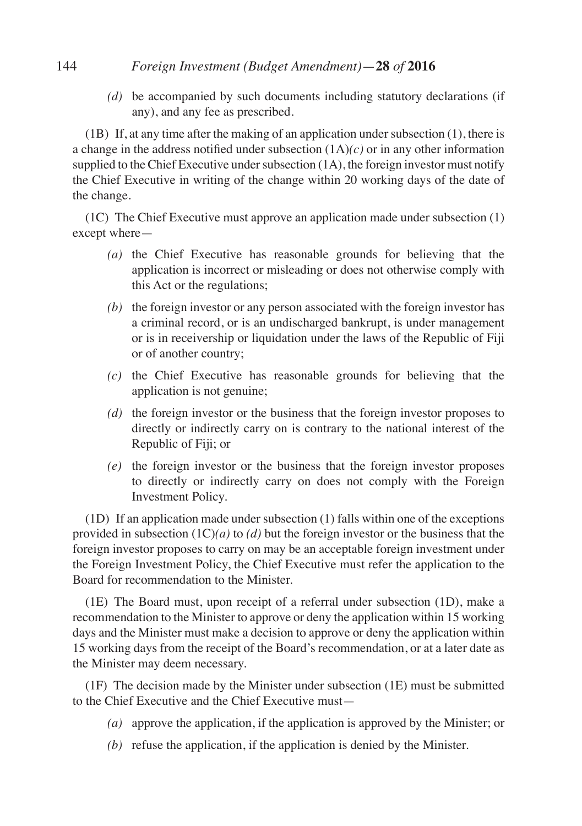## 144 *Foreign Investment (Budget Amendment)*—**28** *of* **2016**

*(d)* be accompanied by such documents including statutory declarations (if any), and any fee as prescribed.

(1B) If, at any time after the making of an application under subsection (1), there is a change in the address notified under subsection (1A)*(c)* or in any other information supplied to the Chief Executive under subsection (1A), the foreign investor must notify the Chief Executive in writing of the change within 20 working days of the date of the change.

(1C) The Chief Executive must approve an application made under subsection (1) except where—

- *(a)* the Chief Executive has reasonable grounds for believing that the application is incorrect or misleading or does not otherwise comply with this Act or the regulations;
- *(b)* the foreign investor or any person associated with the foreign investor has a criminal record, or is an undischarged bankrupt, is under management or is in receivership or liquidation under the laws of the Republic of Fiji or of another country;
- *(c)* the Chief Executive has reasonable grounds for believing that the application is not genuine;
- *(d)* the foreign investor or the business that the foreign investor proposes to directly or indirectly carry on is contrary to the national interest of the Republic of Fiji; or
- *(e)* the foreign investor or the business that the foreign investor proposes to directly or indirectly carry on does not comply with the Foreign Investment Policy.

(1D) If an application made under subsection (1) falls within one of the exceptions provided in subsection (1C)*(a)* to *(d)* but the foreign investor or the business that the foreign investor proposes to carry on may be an acceptable foreign investment under the Foreign Investment Policy, the Chief Executive must refer the application to the Board for recommendation to the Minister.

(1E) The Board must, upon receipt of a referral under subsection (1D), make a recommendation to the Minister to approve or deny the application within 15 working days and the Minister must make a decision to approve or deny the application within 15 working days from the receipt of the Board's recommendation, or at a later date as the Minister may deem necessary.

(1F) The decision made by the Minister under subsection (1E) must be submitted to the Chief Executive and the Chief Executive must—

- *(a)* approve the application, if the application is approved by the Minister; or
- *(b)* refuse the application, if the application is denied by the Minister.